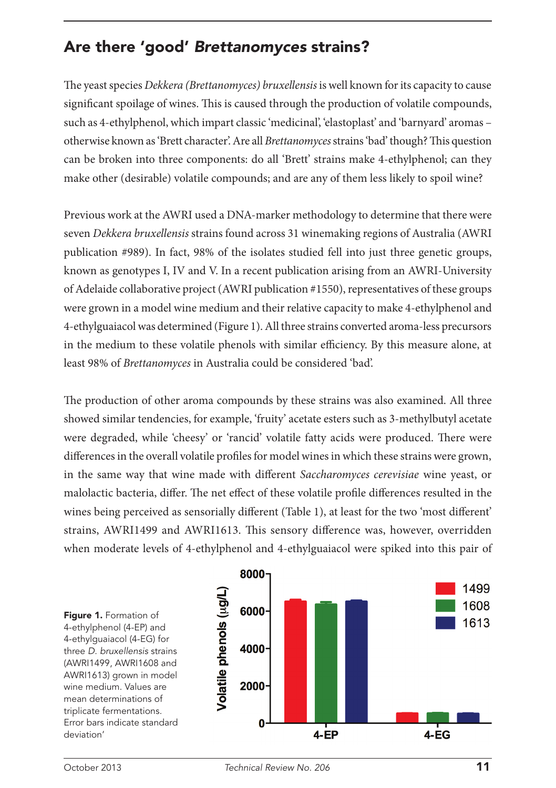## Are there 'good' *Brettanomyces* strains?

The yeast species *Dekkera (Brettanomyces) bruxellensis* is well known for its capacity to cause significant spoilage of wines. This is caused through the production of volatile compounds, such as 4-ethylphenol, which impart classic 'medicinal', 'elastoplast' and 'barnyard' aromas – otherwise known as 'Brett character'. Are all *Brettanomyces* strains 'bad' though? This question can be broken into three components: do all 'Brett' strains make 4-ethylphenol; can they make other (desirable) volatile compounds; and are any of them less likely to spoil wine?

Previous work at the AWRI used a DNA-marker methodology to determine that there were seven *Dekkera bruxellensis* strains found across 31 winemaking regions of Australia (AWRI publication #989). In fact, 98% of the isolates studied fell into just three genetic groups, known as genotypes I, IV and V. In a recent publication arising from an AWRI-University of Adelaide collaborative project (AWRI publication #1550), representatives of these groups were grown in a model wine medium and their relative capacity to make 4-ethylphenol and 4-ethylguaiacol was determined (Figure 1). All three strains converted aroma-less precursors in the medium to these volatile phenols with similar efficiency. By this measure alone, at least 98% of *Brettanomyces* in Australia could be considered 'bad'.

The production of other aroma compounds by these strains was also examined. All three showed similar tendencies, for example, 'fruity' acetate esters such as 3-methylbutyl acetate were degraded, while 'cheesy' or 'rancid' volatile fatty acids were produced. There were differences in the overall volatile profiles for model wines in which these strains were grown, in the same way that wine made with different *Saccharomyces cerevisiae* wine yeast, or malolactic bacteria, differ. The net effect of these volatile profile differences resulted in the wines being perceived as sensorially different (Table 1), at least for the two 'most different' strains, AWRI1499 and AWRI1613. This sensory difference was, however, overridden when moderate levels of 4-ethylphenol and 4-ethylguaiacol were spiked into this pair of